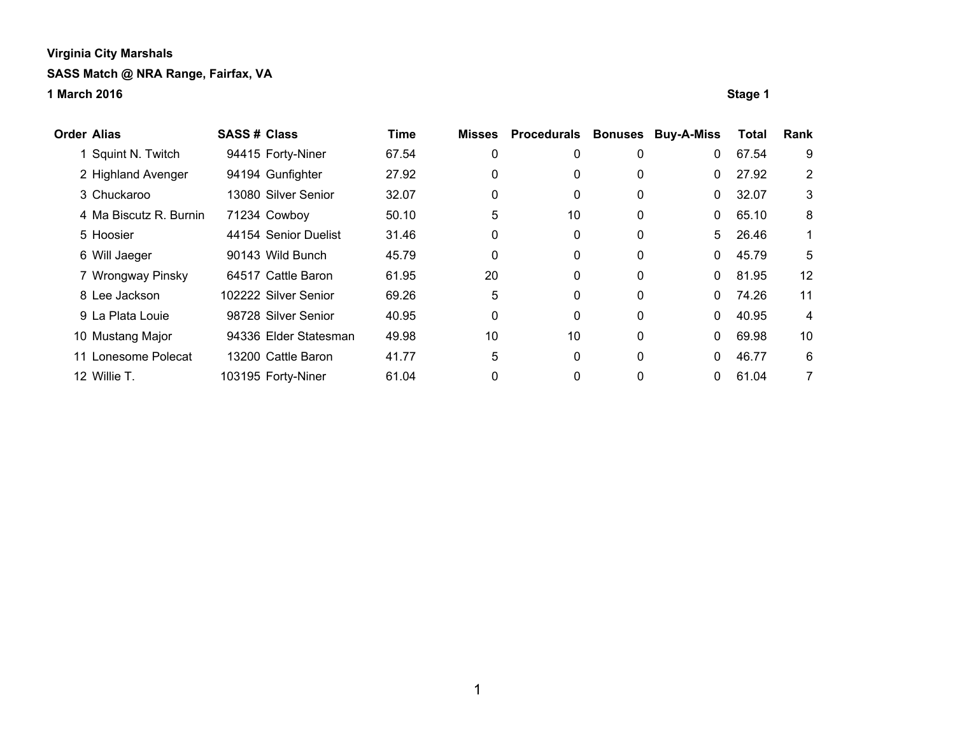| <b>Order Alias</b>     | <b>SASS# Class</b> |                       | <b>Time</b> | <b>Misses</b> | Procedurals | <b>Bonuses</b> | <b>Buy-A-Miss</b> | Total | Rank           |
|------------------------|--------------------|-----------------------|-------------|---------------|-------------|----------------|-------------------|-------|----------------|
| Squint N. Twitch       |                    | 94415 Forty-Niner     | 67.54       | 0             | 0           | 0              | 0                 | 67.54 | 9              |
| 2 Highland Avenger     |                    | 94194 Gunfighter      | 27.92       | 0             | 0           | 0              | 0                 | 27.92 | $\overline{2}$ |
| 3 Chuckaroo            |                    | 13080 Silver Senior   | 32.07       | 0             | 0           | 0              | 0                 | 32.07 | 3              |
| 4 Ma Biscutz R. Burnin |                    | 71234 Cowboy          | 50.10       | 5             | 10          | 0              | 0                 | 65.10 | 8              |
| 5 Hoosier              |                    | 44154 Senior Duelist  | 31.46       | 0             | 0           | 0              | 5                 | 26.46 | 1              |
| 6 Will Jaeger          |                    | 90143 Wild Bunch      | 45.79       | 0             | 0           | 0              | 0                 | 45.79 | 5              |
| 7 Wrongway Pinsky      |                    | 64517 Cattle Baron    | 61.95       | 20            | 0           | 0              | $\mathbf{0}$      | 81.95 | 12             |
| 8 Lee Jackson          |                    | 102222 Silver Senior  | 69.26       | 5             | 0           | 0              | 0                 | 74.26 | 11             |
| 9 La Plata Louie       |                    | 98728 Silver Senior   | 40.95       | 0             | 0           | 0              | 0                 | 40.95 | 4              |
| 10 Mustang Major       |                    | 94336 Elder Statesman | 49.98       | 10            | 10          | 0              | 0                 | 69.98 | 10             |
| 11 Lonesome Polecat    |                    | 13200 Cattle Baron    | 41.77       | 5             | 0           | 0              | 0                 | 46.77 | 6              |
| 12 Willie T.           |                    | 103195 Forty-Niner    | 61.04       | 0             | 0           | 0              | 0                 | 61.04 | 7              |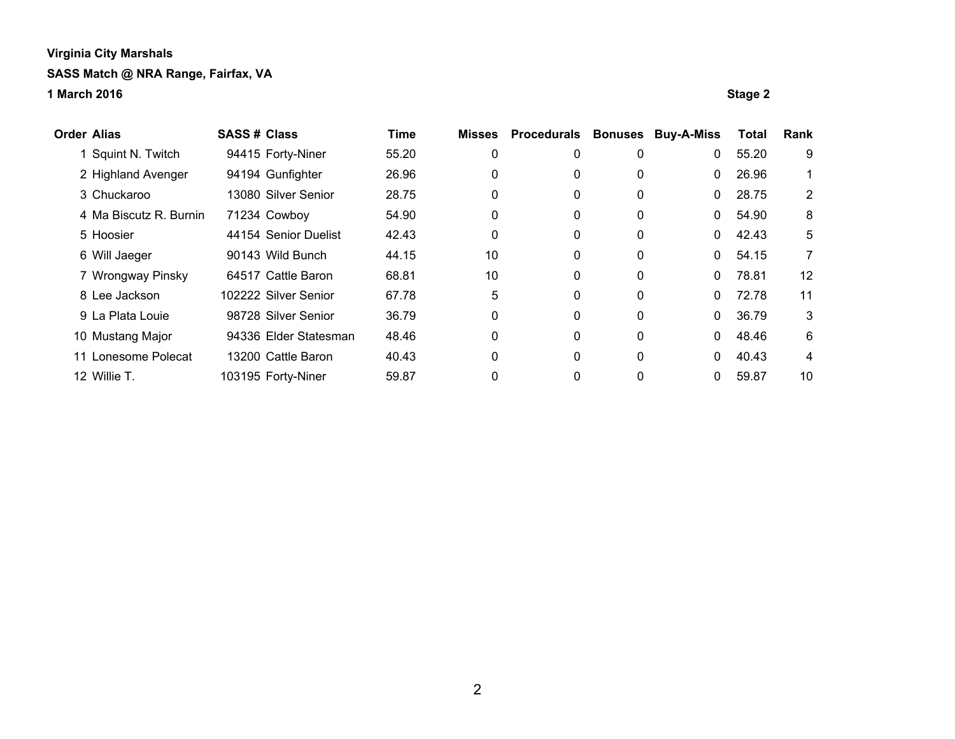| <b>Order Alias</b> |                        | <b>SASS # Class</b> |                       | <b>Time</b> | <b>Misses</b> | <b>Procedurals</b> | <b>Bonuses</b> | <b>Buy-A-Miss</b> | Total | Rank |
|--------------------|------------------------|---------------------|-----------------------|-------------|---------------|--------------------|----------------|-------------------|-------|------|
|                    | Squint N. Twitch       |                     | 94415 Forty-Niner     | 55.20       | 0             | 0                  | 0              | 0                 | 55.20 | 9    |
|                    | 2 Highland Avenger     |                     | 94194 Gunfighter      | 26.96       | 0             | 0                  | 0              | 0                 | 26.96 |      |
|                    | 3 Chuckaroo            |                     | 13080 Silver Senior   | 28.75       | 0             | 0                  | 0              | $\Omega$          | 28.75 | 2    |
|                    | 4 Ma Biscutz R. Burnin |                     | 71234 Cowboy          | 54.90       | 0             | 0                  | 0              | 0                 | 54.90 | 8    |
|                    | 5 Hoosier              |                     | 44154 Senior Duelist  | 42.43       | 0             | 0                  | 0              | 0                 | 42.43 | 5    |
|                    | 6 Will Jaeger          |                     | 90143 Wild Bunch      | 44.15       | 10            | 0                  | 0              | $\mathbf{0}$      | 54.15 | 7    |
|                    | 7 Wrongway Pinsky      |                     | 64517 Cattle Baron    | 68.81       | 10            | 0                  | 0              | $\Omega$          | 78.81 | 12   |
|                    | 8 Lee Jackson          |                     | 102222 Silver Senior  | 67.78       | 5             | 0                  | $\mathbf{0}$   | 0                 | 72.78 | 11   |
|                    | 9 La Plata Louie       |                     | 98728 Silver Senior   | 36.79       | 0             | 0                  | $\mathbf{0}$   | 0                 | 36.79 | 3    |
|                    | 10 Mustang Major       |                     | 94336 Elder Statesman | 48.46       | 0             | 0                  | $\mathbf 0$    | 0                 | 48.46 | 6    |
|                    | 11 Lonesome Polecat    |                     | 13200 Cattle Baron    | 40.43       | 0             | 0                  | $\mathbf{0}$   | 0                 | 40.43 | 4    |
|                    | 12 Willie T.           |                     | 103195 Forty-Niner    | 59.87       | 0             | 0                  | 0              |                   | 59.87 | 10   |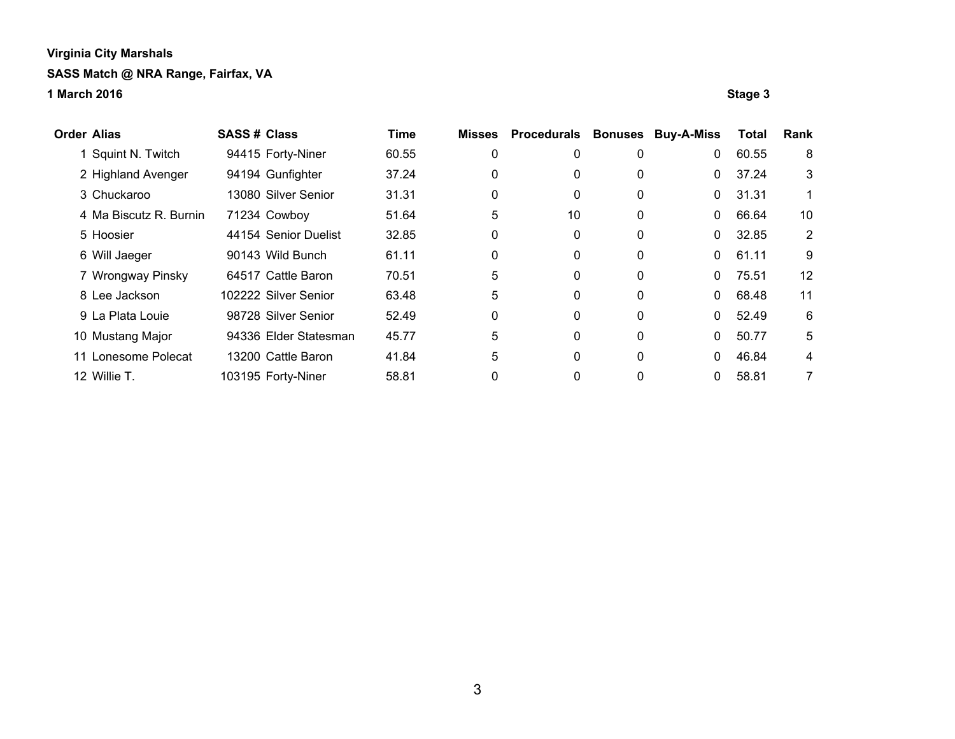| <b>Order Alias</b> |                        | <b>SASS# Class</b> |                       | <b>Time</b> | <b>Misses</b> | <b>Procedurals</b> | <b>Bonuses</b> | <b>Buy-A-Miss</b> | Total | Rank           |
|--------------------|------------------------|--------------------|-----------------------|-------------|---------------|--------------------|----------------|-------------------|-------|----------------|
|                    | Squint N. Twitch       |                    | 94415 Forty-Niner     | 60.55       | 0             | 0                  | 0              | $\mathbf{0}$      | 60.55 | 8              |
|                    | 2 Highland Avenger     |                    | 94194 Gunfighter      | 37.24       | 0             | 0                  | 0              | $\mathbf{0}$      | 37.24 | 3              |
|                    | 3 Chuckaroo            |                    | 13080 Silver Senior   | 31.31       | 0             | 0                  | 0              | $\mathbf{0}$      | 31.31 |                |
|                    | 4 Ma Biscutz R. Burnin |                    | 71234 Cowboy          | 51.64       | 5             | 10                 | 0              | $\mathbf{0}$      | 66.64 | 10             |
|                    | 5 Hoosier              |                    | 44154 Senior Duelist  | 32.85       | 0             | 0                  | 0              | $\mathbf{0}$      | 32.85 | $\overline{2}$ |
|                    | 6 Will Jaeger          |                    | 90143 Wild Bunch      | 61.11       | 0             | 0                  | 0              | $\mathbf{0}$      | 61.11 | 9              |
|                    | 7 Wrongway Pinsky      |                    | 64517 Cattle Baron    | 70.51       | 5             | 0                  | 0              | $\Omega$          | 75.51 | 12             |
|                    | 8 Lee Jackson          |                    | 102222 Silver Senior  | 63.48       | 5             | 0                  | 0              | $\mathbf{0}$      | 68.48 | 11             |
|                    | 9 La Plata Louie       |                    | 98728 Silver Senior   | 52.49       | 0             | 0                  | 0              | $\Omega$          | 52.49 | 6              |
|                    | 10 Mustang Major       |                    | 94336 Elder Statesman | 45.77       | 5             | 0                  | 0              | $\Omega$          | 50.77 | 5              |
|                    | 11 Lonesome Polecat    |                    | 13200 Cattle Baron    | 41.84       | 5             | 0                  | 0              | $\Omega$          | 46.84 | 4              |
|                    | 12 Willie T.           |                    | 103195 Forty-Niner    | 58.81       | 0             | 0                  | 0              | 0                 | 58.81 | 7              |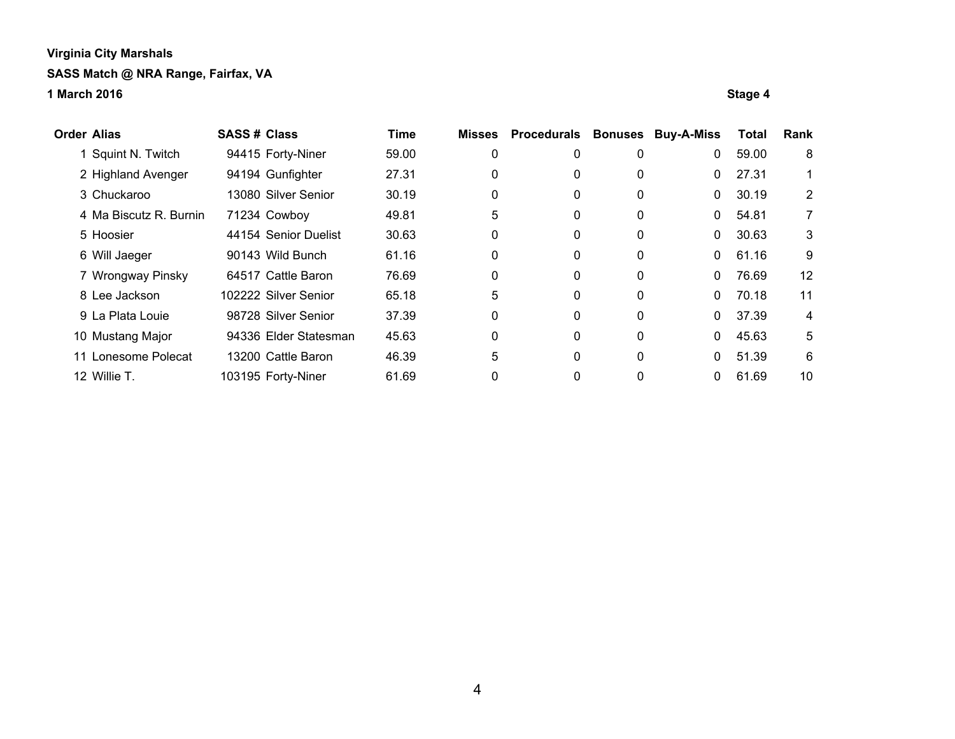| <b>Order Alias</b> |                        | <b>SASS# Class</b> |                       | <b>Time</b> | <b>Misses</b> | <b>Procedurals</b> | <b>Bonuses</b> | <b>Buy-A-Miss</b> | Total | Rank              |
|--------------------|------------------------|--------------------|-----------------------|-------------|---------------|--------------------|----------------|-------------------|-------|-------------------|
|                    | Squint N. Twitch       |                    | 94415 Forty-Niner     | 59.00       | 0             | 0                  | 0              | $\mathbf 0$       | 59.00 | 8                 |
|                    | 2 Highland Avenger     |                    | 94194 Gunfighter      | 27.31       | 0             | 0                  | 0              | $\Omega$          | 27.31 |                   |
|                    | 3 Chuckaroo            |                    | 13080 Silver Senior   | 30.19       | 0             | 0                  | 0              | $\mathbf{0}$      | 30.19 | $\overline{2}$    |
|                    | 4 Ma Biscutz R. Burnin |                    | 71234 Cowboy          | 49.81       | 5             | 0                  | 0              | $\mathbf{0}$      | 54.81 | 7                 |
|                    | 5 Hoosier              |                    | 44154 Senior Duelist  | 30.63       | 0             | 0                  | 0              | $\mathbf{0}$      | 30.63 | 3                 |
|                    | 6 Will Jaeger          |                    | 90143 Wild Bunch      | 61.16       | 0             | 0                  | 0              | $\mathbf{0}$      | 61.16 | 9                 |
|                    | 7 Wrongway Pinsky      |                    | 64517 Cattle Baron    | 76.69       | 0             | 0                  | 0              | $\mathbf{0}$      | 76.69 | $12 \overline{ }$ |
|                    | 8 Lee Jackson          |                    | 102222 Silver Senior  | 65.18       | 5             | 0                  | $\mathbf{0}$   | $\Omega$          | 70.18 | 11                |
|                    | 9 La Plata Louie       |                    | 98728 Silver Senior   | 37.39       | 0             | 0                  | $\mathbf{0}$   | $\Omega$          | 37.39 | 4                 |
|                    | 10 Mustang Major       |                    | 94336 Elder Statesman | 45.63       | 0             | 0                  | $\mathbf{0}$   | $\Omega$          | 45.63 | 5                 |
| 11                 | Lonesome Polecat       |                    | 13200 Cattle Baron    | 46.39       | 5             | 0                  | $\mathbf{0}$   | $\Omega$          | 51.39 | 6                 |
|                    | 12 Willie T.           |                    | 103195 Forty-Niner    | 61.69       | 0             | 0                  | 0              | $\mathbf{0}$      | 61.69 | 10                |